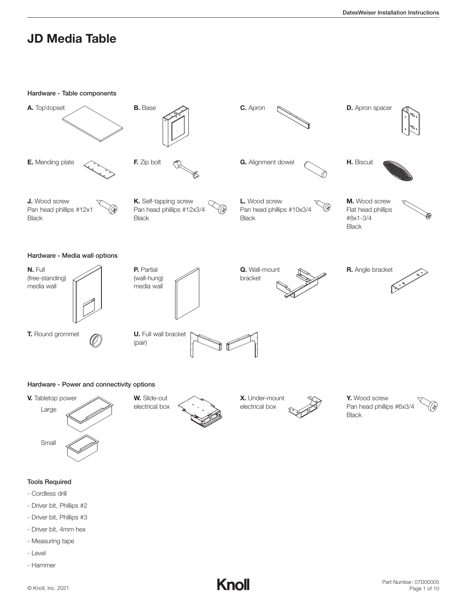

- Driver bit, 4mm hex
- Measuring tape
- Level
- Hammer



Part Number: 07D00005 Page 1 of 10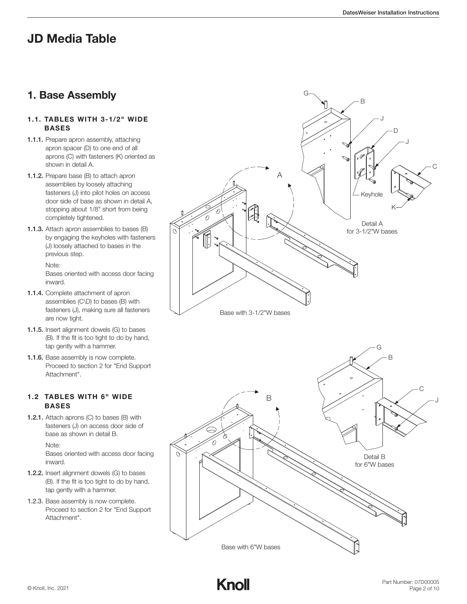### 1. Base Assembly

#### 1.1. TABLES WITH 3‐1/2" WIDE BASES

- 1.1.1. Prepare apron assembly, attaching apron spacer (D) to one end of all aprons (C) with fasteners (K) oriented as shown in detail A.
- 1.1.2. Prepare base (B) to attach apron assemblies by loosely attaching fasteners (J) into pilot holes on access door side of base as shown in detail A, stopping about 1/8" short from being completely tightened.
- 1.1.3. Attach apron assemblies to bases (B) by engaging the keyholes with fasteners (J) loosely attached to bases in the previous step.

Note: Bases oriented with access door facing inward.

- 1.1.4. Complete attachment of apron assemblies (C\D) to bases (B) with fasteners (J), making sure all fasteners are now tight.
- 1.1.5. Insert alignment dowels (G) to bases (B). If the fit is too tight to do by hand, tap gently with a hammer.
- 1.1.6. Base assembly is now complete. Proceed to section 2 for "End Support Attachment".

### 1.2 TABLES WITH 6" WIDE BASES

1.2.1. Attach aprons (C) to bases (B) with fasteners (J) on access door side of base as shown in detail B.

Note:

 Bases oriented with access door facing inward.

- 1.2.2. Insert alignment dowels (G) to bases (B). If the fit is too tight to do by hand, tap gently with a hammer.
- 1.2.3. Base assembly is now complete. Proceed to section 2 for "End Support Attachment".



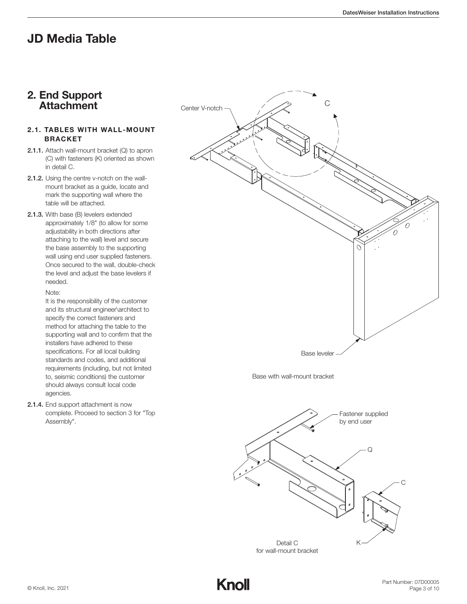### 2. End Support **Attachment**

#### 2.1. TABLES WITH WALL‐MOUNT BRACKET

- 2.1.1. Attach wall‐mount bracket (Q) to apron (C) with fasteners (K) oriented as shown in detail C.
- 2.1.2. Using the centre v-notch on the wallmount bracket as a guide, locate and mark the supporting wall where the table will be attached.
- 2.1.3. With base (B) levelers extended approximately 1/8" (to allow for some adjustability in both directions after attaching to the wall) level and secure the base assembly to the supporting wall using end user supplied fasteners. Once secured to the wall, double‐check the level and adjust the base levelers if needed.

#### Note:

It is the responsibility of the customer and its structural engineer\architect to specify the correct fasteners and method for attaching the table to the supporting wall and to confirm that the installers have adhered to these specifications. For all local building standards and codes, and additional requirements (including, but not limited to, seismic conditions) the customer should always consult local code agencies.

2.1.4. End support attachment is now complete. Proceed to section 3 for "Top Assembly".



Base with wall-mount bracket



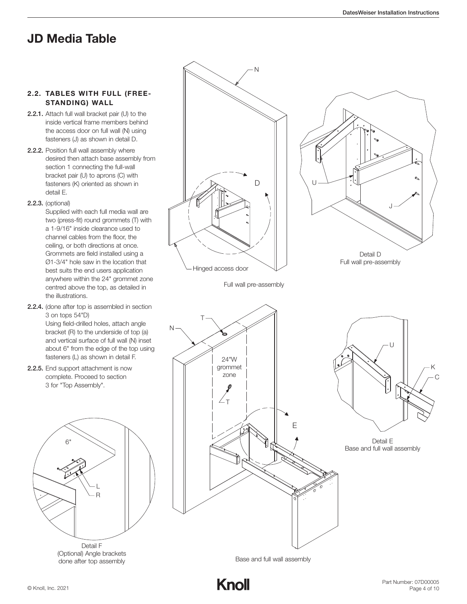#### 2.2. TABLES WITH FULL (FREE‐ STANDING) WALL

- 2.2.1. Attach full wall bracket pair (U) to the inside vertical frame members behind the access door on full wall (N) using fasteners (J) as shown in detail D.
- 2.2.2. Position full wall assembly where desired then attach base assembly from section 1 connecting the full-wall bracket pair (U) to aprons (C) with fasteners (K) oriented as shown in detail E.
- 2.2.3. (optional)

Supplied with each full media wall are two (press‐fit) round grommets (T) with a 1‐9/16" inside clearance used to channel cables from the floor, the ceiling, or both directions at once. Grommets are field installed using a Ø1‐3/4" hole saw in the location that best suits the end users application anywhere within the 24" grommet zone centred above the top, as detailed in the illustrations.

2.2.4. (done after top is assembled in section 3 on tops 54"D)

Using field‐drilled holes, attach angle bracket (R) to the underside of top (a) and vertical surface of full wall (N) inset about 6" from the edge of the top using fasteners (L) as shown in detail F.

2.2.5. End support attachment is now complete. Proceed to section 3 for "Top Assembly".



Detail F (Optional) Angle brackets done after top assembly



Base and full wall assembly

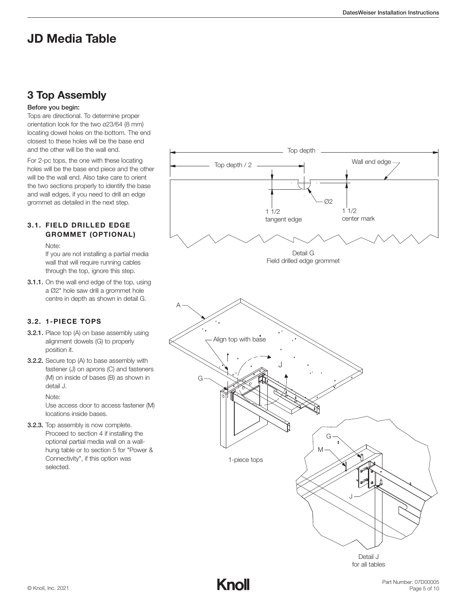### 3 Top Assembly

#### Before you begin:

Tops are directional. To determine proper orientation look for the two ø23/64 (8 mm) locating dowel holes on the bottom. The end closest to these holes will be the base end and the other will be the wall end.

For 2‐pc tops, the one with these locating holes will be the base end piece and the other will be the wall end. Also take care to orient the two sections properly to identify the base and wall edges, if you need to drill an edge grommet as detailed in the next step.

### 3.1. FIELD DRILLED EDGE GROMMET (OPTIONAL)

Note:

 If you are not installing a partial media wall that will require running cables through the top, ignore this step.

3.1.1. On the wall end edge of the top, using a Ø2" hole saw drill a grommet hole centre in depth as shown in detail G.

### 3.2. 1‐PIECE TOPS

- 3.2.1. Place top (A) on base assembly using alignment dowels (G) to properly position it.
- **3.2.2.** Secure top (A) to base assembly with fastener (J) on aprons (C) and fasteners (M) on inside of bases (B) as shown in detail J.

Note:

 Use access door to access fastener (M) locations inside bases.

3.2.3. Top assembly is now complete. Proceed to section 4 if installing the optional partial media wall on a wall‐ hung table or to section 5 for "Power & Connectivity", if this option was selected.



for all tables

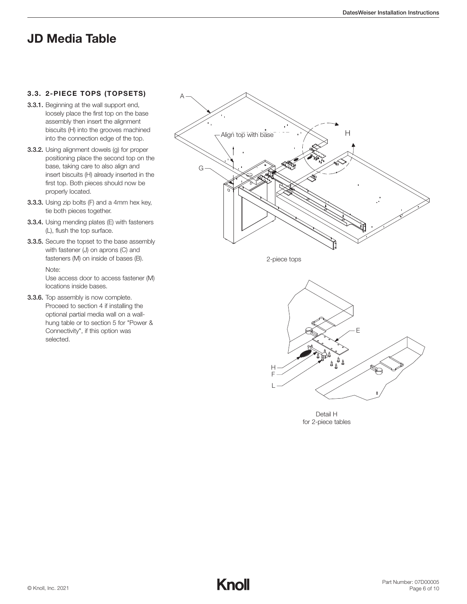#### 3.3. 2‐PIECE TOPS (TOPSETS)

- 3.3.1. Beginning at the wall support end, loosely place the first top on the base assembly then insert the alignment biscuits (H) into the grooves machined into the connection edge of the top.
- 3.3.2. Using alignment dowels (g) for proper positioning place the second top on the base, taking care to also align and insert biscuits (H) already inserted in the first top. Both pieces should now be properly located.
- 3.3.3. Using zip bolts (F) and a 4mm hex key, tie both pieces together.
- 3.3.4. Using mending plates (E) with fasteners (L), flush the top surface.
- 3.3.5. Secure the topset to the base assembly with fastener (J) on aprons (C) and fasteners (M) on inside of bases (B). Note:

 Use access door to access fastener (M) locations inside bases.

3.3.6. Top assembly is now complete. Proceed to section 4 if installing the optional partial media wall on a wall‐ hung table or to section 5 for "Power & Connectivity", if this option was selected.



2-piece tops



Detail H for 2-piece tables

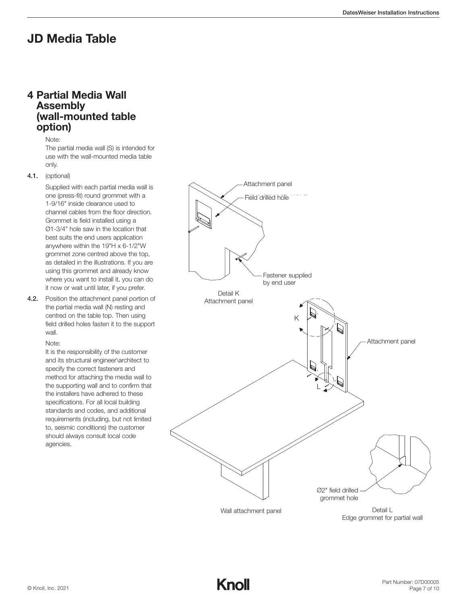### 4 Partial Media Wall Assembly (wall‐mounted table option)

Note:

 The partial media wall (S) is intended for use with the wall‐mounted media table only.

4.1. (optional)

 Supplied with each partial media wall is one (press‐fit) round grommet with a 1‐9/16" inside clearance used to channel cables from the floor direction. Grommet is field installed using a Ø1‐3/4" hole saw in the location that best suits the end users application anywhere within the 19"H x 6‐1/2"W grommet zone centred above the top, as detailed in the illustrations. If you are using this grommet and already know where you want to install it, you can do it now or wait until later, if you prefer.

4.2. Position the attachment panel portion of the partial media wall (N) resting and centred on the table top. Then using field drilled holes fasten it to the support wall.

#### Note:

 It is the responsibility of the customer and its structural engineer\architect to specify the correct fasteners and method for attaching the media wall to the supporting wall and to confirm that the installers have adhered to these specifications. For all local building standards and codes, and additional requirements (including, but not limited to, seismic conditions) the customer should always consult local code agencies.



Wall attachment panel

Detail L Edge grommet for partial wall

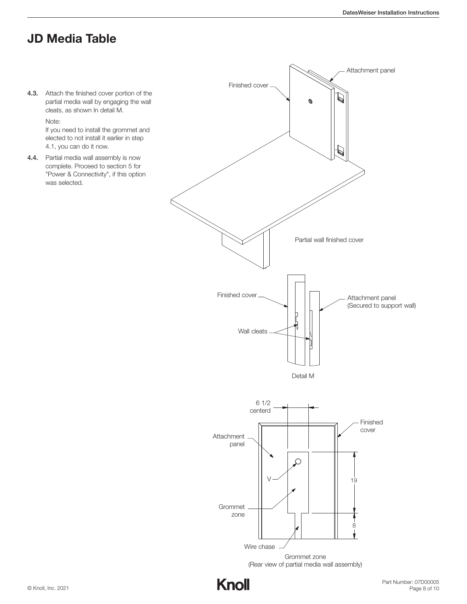4.3. Attach the finished cover portion of the partial media wall by engaging the wall cleats, as shown In detail M.

Note:

 If you need to install the grommet and elected to not install it earlier in step 4.1, you can do it now.

4.4. Partial media wall assembly is now complete. Proceed to section 5 for "Power & Connectivity", if this option was selected.

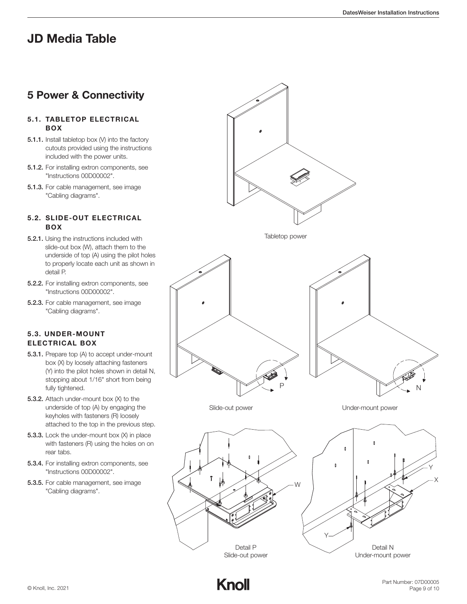### 5 Power & Connectivity

#### 5.1. TABLETOP ELECTRICAL BOX

- 5.1.1. Install tabletop box (V) into the factory cutouts provided using the instructions included with the power units.
- 5.1.2. For installing extron components, see "Instructions 00D00002".
- 5.1.3. For cable management, see image "Cabling diagrams".

### 5.2. SLIDE‐OUT ELECTRICAL BOX

- 5.2.1. Using the instructions included with slide-out box (W), attach them to the underside of top (A) using the pilot holes to properly locate each unit as shown in detail P.
- 5.2.2. For installing extron components, see "Instructions 00D00002".
- 5.2.3. For cable management, see image "Cabling diagrams".

### 5.3. UNDER‐MOUNT ELECTRICAL BOX

- 5.3.1. Prepare top (A) to accept under‐mount box (X) by loosely attaching fasteners (Y) into the pilot holes shown in detail N, stopping about 1/16" short from being fully tightened.
- 5.3.2. Attach under-mount box (X) to the underside of top (A) by engaging the keyholes with fasteners (R) loosely attached to the top in the previous step.
- 5.3.3. Lock the under-mount box (X) in place with fasteners (R) using the holes on on rear tabs.
- 5.3.4. For installing extron components, see "Instructions 00D00002".
- 5.3.5. For cable management, see image "Cabling diagrams".



Tabletop power







Under-mount power